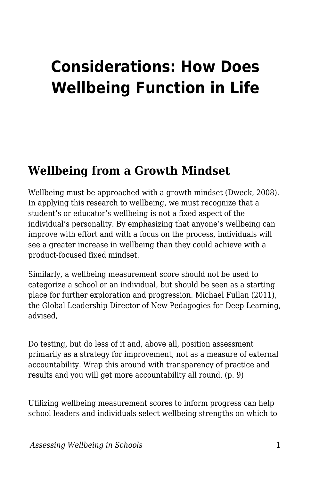# **Considerations: How Does Wellbeing Function in Life**

# **Wellbeing from a Growth Mindset**

Wellbeing must be approached with a growth mindset (Dweck, 2008). In applying this research to wellbeing, we must recognize that a student's or educator's wellbeing is not a fixed aspect of the individual's personality. By emphasizing that anyone's wellbeing can improve with effort and with a focus on the process, individuals will see a greater increase in wellbeing than they could achieve with a product-focused fixed mindset.

Similarly, a wellbeing measurement score should not be used to categorize a school or an individual, but should be seen as a starting place for further exploration and progression. Michael Fullan (2011), the Global Leadership Director of New Pedagogies for Deep Learning, advised,

Do testing, but do less of it and, above all, position assessment primarily as a strategy for improvement, not as a measure of external accountability. Wrap this around with transparency of practice and results and you will get more accountability all round. (p. 9)

Utilizing wellbeing measurement scores to inform progress can help school leaders and individuals select wellbeing strengths on which to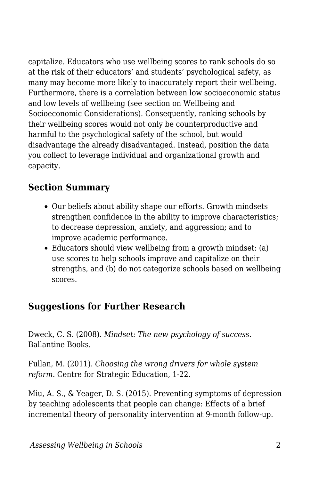capitalize. Educators who use wellbeing scores to rank schools do so at the risk of their educators' and students' psychological safety, as many may become more likely to inaccurately report their wellbeing. Furthermore, there is a correlation between low socioeconomic status and low levels of wellbeing (see section on Wellbeing and Socioeconomic Considerations). Consequently, ranking schools by their wellbeing scores would not only be counterproductive and harmful to the psychological safety of the school, but would disadvantage the already disadvantaged. Instead, position the data you collect to leverage individual and organizational growth and capacity.

### **Section Summary**

- Our beliefs about ability shape our efforts. Growth mindsets strengthen confidence in the ability to improve characteristics; to decrease depression, anxiety, and aggression; and to improve academic performance.
- Educators should view wellbeing from a growth mindset: (a) use scores to help schools improve and capitalize on their strengths, and (b) do not categorize schools based on wellbeing scores.

#### **Suggestions for Further Research**

Dweck, C. S. (2008). *Mindset: The new psychology of success*. Ballantine Books.

Fullan, M. (2011). *Choosing the wrong drivers for whole system reform*. Centre for Strategic Education, 1-22.

Miu, A. S., & Yeager, D. S. (2015). Preventing symptoms of depression by teaching adolescents that people can change: Effects of a brief incremental theory of personality intervention at 9-month follow-up.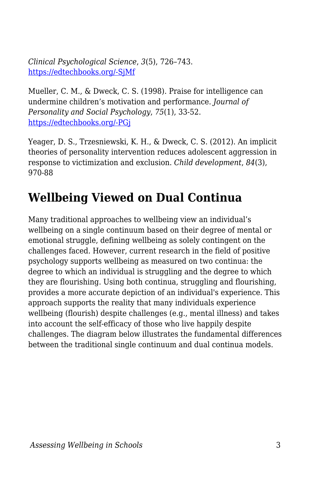*Clinical Psychological Science*, *3*(5), 726–743. [https://edtechbooks.org/-SjMf](https://doi.org/10.1177/2167702614548317)

Mueller, C. M., & Dweck, C. S. (1998). Praise for intelligence can undermine children's motivation and performance. *Journal of Personality and Social Psychology*, *75*(1), 33-52. [https://edtechbooks.org/-PGj](https://edtechbooks.org/wellbeing/about:blank)

Yeager, D. S., Trzesniewski, K. H., & Dweck, C. S. (2012). An implicit theories of personality intervention reduces adolescent aggression in response to victimization and exclusion. *Child development*, *84*(3), 970-88

# **Wellbeing Viewed on Dual Continua**

Many traditional approaches to wellbeing view an individual's wellbeing on a single continuum based on their degree of mental or emotional struggle, defining wellbeing as solely contingent on the challenges faced. However, current research in the field of positive psychology supports wellbeing as measured on two continua: the degree to which an individual is struggling and the degree to which they are flourishing. Using both continua, struggling and flourishing, provides a more accurate depiction of an individual's experience. This approach supports the reality that many individuals experience wellbeing (flourish) despite challenges (e.g., mental illness) and takes into account the self-efficacy of those who live happily despite challenges. The diagram below illustrates the fundamental differences between the traditional single continuum and dual continua models.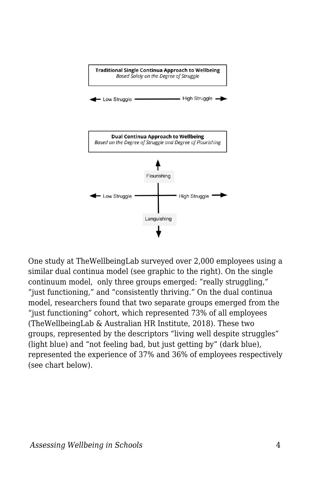

One study at TheWellbeingLab surveyed over 2,000 employees using a similar dual continua model (see graphic to the right). On the single continuum model, only three groups emerged: "really struggling," "just functioning," and "consistently thriving." On the dual continua model, researchers found that two separate groups emerged from the "just functioning" cohort, which represented 73% of all employees (TheWellbeingLab & Australian HR Institute, 2018). These two groups, represented by the descriptors "living well despite struggles" (light blue) and "not feeling bad, but just getting by" (dark blue), represented the experience of 37% and 36% of employees respectively (see chart below).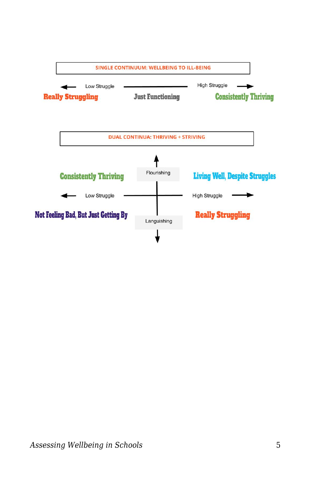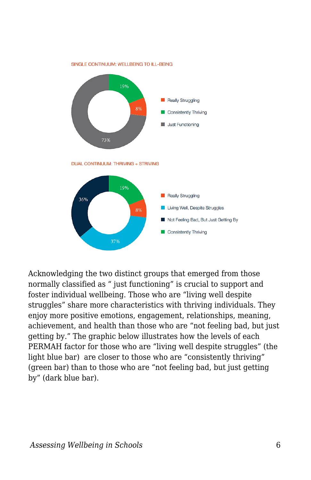

Acknowledging the two distinct groups that emerged from those normally classified as " just functioning" is crucial to support and foster individual wellbeing. Those who are "living well despite struggles" share more characteristics with thriving individuals. They enjoy more positive emotions, engagement, relationships, meaning, achievement, and health than those who are "not feeling bad, but just getting by." The graphic below illustrates how the levels of each PERMAH factor for those who are "living well despite struggles" (the light blue bar) are closer to those who are "consistently thriving" (green bar) than to those who are "not feeling bad, but just getting by" (dark blue bar).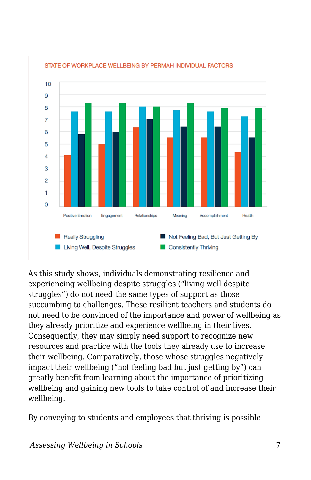

STATE OF WORKPLACE WELLBEING BY PERMAH INDIVIDUAL FACTORS

As this study shows, individuals demonstrating resilience and experiencing wellbeing despite struggles ("living well despite struggles") do not need the same types of support as those succumbing to challenges. These resilient teachers and students do not need to be convinced of the importance and power of wellbeing as they already prioritize and experience wellbeing in their lives. Consequently, they may simply need support to recognize new resources and practice with the tools they already use to increase their wellbeing. Comparatively, those whose struggles negatively impact their wellbeing ("not feeling bad but just getting by") can greatly benefit from learning about the importance of prioritizing wellbeing and gaining new tools to take control of and increase their wellbeing.

By conveying to students and employees that thriving is possible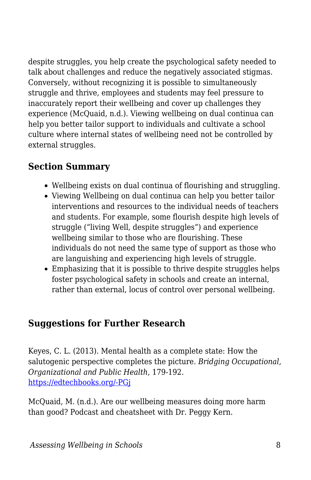despite struggles, you help create the psychological safety needed to talk about challenges and reduce the negatively associated stigmas. Conversely, without recognizing it is possible to simultaneously struggle and thrive, employees and students may feel pressure to inaccurately report their wellbeing and cover up challenges they experience (McQuaid, n.d.). Viewing wellbeing on dual continua can help you better tailor support to individuals and cultivate a school culture where internal states of wellbeing need not be controlled by external struggles.

#### **Section Summary**

- Wellbeing exists on dual continua of flourishing and struggling.
- Viewing Wellbeing on dual continua can help you better tailor interventions and resources to the individual needs of teachers and students. For example, some flourish despite high levels of struggle ("living Well, despite struggles") and experience wellbeing similar to those who are flourishing. These individuals do not need the same type of support as those who are languishing and experiencing high levels of struggle.
- Emphasizing that it is possible to thrive despite struggles helps foster psychological safety in schools and create an internal, rather than external, locus of control over personal wellbeing.

#### **Suggestions for Further Research**

Keyes, C. L. (2013). Mental health as a complete state: How the salutogenic perspective completes the picture. *Bridging Occupational, Organizational and Public Health*, 179-192. [https://edtechbooks.org/-PGj](https://edtechbooks.org/wellbeing/about:blank)

McQuaid, M. (n.d.). Are our wellbeing measures doing more harm than good? Podcast and cheatsheet with Dr. Peggy Kern.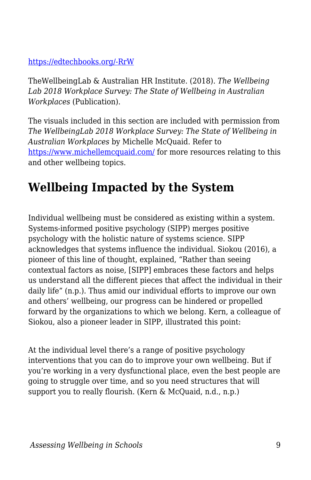#### [https://edtechbooks.org/-RrW](https://www.michellemcquaid.com/podcast/wellbeing-measures-harm-good-podcast-peggy-kern/)

TheWellbeingLab & Australian HR Institute. (2018). *The Wellbeing Lab 2018 Workplace Survey: The State of Wellbeing in Australian Workplaces* (Publication).

The visuals included in this section are included with permission from *The WellbeingLab 2018 Workplace Survey: The State of Wellbeing in Australian Workplaces* by Michelle McQuaid. Refer to <https://www.michellemcquaid.com/> for more resources relating to this and other wellbeing topics.

# **Wellbeing Impacted by the System**

Individual wellbeing must be considered as existing within a system. Systems-informed positive psychology (SIPP) merges positive psychology with the holistic nature of systems science. SIPP acknowledges that systems influence the individual. Siokou (2016), a pioneer of this line of thought, explained, "Rather than seeing contextual factors as noise, [SIPP] embraces these factors and helps us understand all the different pieces that affect the individual in their daily life" (n.p.). Thus amid our individual efforts to improve our own and others' wellbeing, our progress can be hindered or propelled forward by the organizations to which we belong. Kern, a colleague of Siokou, also a pioneer leader in SIPP, illustrated this point:

At the individual level there's a range of positive psychology interventions that you can do to improve your own wellbeing. But if you're working in a very dysfunctional place, even the best people are going to struggle over time, and so you need structures that will support you to really flourish. (Kern & McQuaid, n.d., n.p.)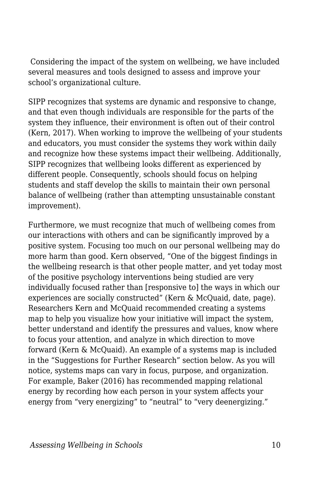Considering the impact of the system on wellbeing, we have included several measures and tools designed to assess and improve your school's organizational culture.

SIPP recognizes that systems are dynamic and responsive to change, and that even though individuals are responsible for the parts of the system they influence, their environment is often out of their control (Kern, 2017). When working to improve the wellbeing of your students and educators, you must consider the systems they work within daily and recognize how these systems impact their wellbeing. Additionally, SIPP recognizes that wellbeing looks different as experienced by different people. Consequently, schools should focus on helping students and staff develop the skills to maintain their own personal balance of wellbeing (rather than attempting unsustainable constant improvement).

Furthermore, we must recognize that much of wellbeing comes from our interactions with others and can be significantly improved by a positive system. Focusing too much on our personal wellbeing may do more harm than good. Kern observed, "One of the biggest findings in the wellbeing research is that other people matter, and yet today most of the positive psychology interventions being studied are very individually focused rather than [responsive to] the ways in which our experiences are socially constructed" (Kern & McQuaid, date, page). Researchers Kern and McQuaid recommended creating a systems map to help you visualize how your initiative will impact the system, better understand and identify the pressures and values, know where to focus your attention, and analyze in which direction to move forward (Kern & McQuaid). An example of a systems map is included in the "Suggestions for Further Research" section below. As you will notice, systems maps can vary in focus, purpose, and organization. For example, Baker (2016) has recommended mapping relational energy by recording how each person in your system affects your energy from "very energizing" to "neutral" to "very deenergizing."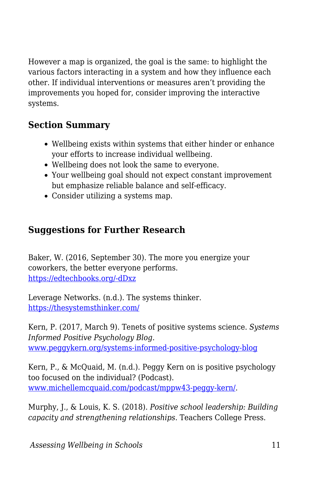However a map is organized, the goal is the same: to highlight the various factors interacting in a system and how they influence each other. If individual interventions or measures aren't providing the improvements you hoped for, consider improving the interactive systems.

### **Section Summary**

- Wellbeing exists within systems that either hinder or enhance your efforts to increase individual wellbeing.
- Wellbeing does not look the same to everyone.
- Your wellbeing goal should not expect constant improvement but emphasize reliable balance and self-efficacy.
- Consider utilizing a systems map.

## **Suggestions for Further Research**

Baker, W. (2016, September 30). The more you energize your coworkers, the better everyone performs. [https://edtechbooks.org/-dDxz](https://hbr.org/2016/09/the-energy-you-give-off-at-work-matters)

Leverage Networks. (n.d.). The systems thinker. <https://thesystemsthinker.com/>

Kern, P. (2017, March 9). Tenets of positive systems science. *Systems Informed Positive Psychology Blog*. [www.peggykern.org/systems-informed-positive-psychology-blog](http://www.peggykern.org/systems-informed-positive-psychology-blog)

Kern, P., & McQuaid, M. (n.d.). Peggy Kern on is positive psychology too focused on the individual? (Podcast). [www.michellemcquaid.com/podcast/mppw43-peggy-kern/](http://www.michellemcquaid.com/podcast/mppw43-peggy-kern/).

Murphy, J., & Louis, K. S. (2018). *Positive school leadership: Building capacity and strengthening relationships*. Teachers College Press.

*Assessing Wellbeing in Schools* 11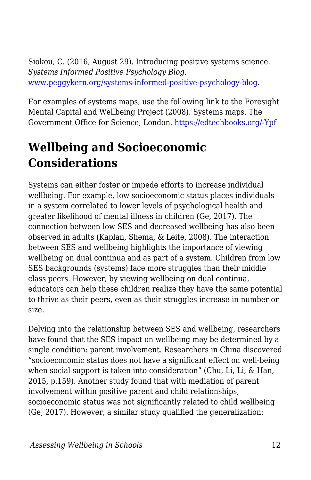Siokou, C. (2016, August 29). Introducing positive systems science. *Systems Informed Positive Psychology Blog*. [www.peggykern.org/systems-informed-positive-psychology-blog.](http://www.peggykern.org/systems-informed-positive-psychology-blog)

For examples of systems maps, use the following link to the Foresight Mental Capital and Wellbeing Project (2008). Systems maps. The Government Office for Science, London. [https://edtechbooks.org/-Ypf](https://issuu.com/shiftn/docs/mcw_systems_maps)

# **Wellbeing and Socioeconomic Considerations**

Systems can either foster or impede efforts to increase individual wellbeing. For example, low socioeconomic status places individuals in a system correlated to lower levels of psychological health and greater likelihood of mental illness in children (Ge, 2017). The connection between low SES and decreased wellbeing has also been observed in adults (Kaplan, Shema, & Leite, 2008). The interaction between SES and wellbeing highlights the importance of viewing wellbeing on dual continua and as part of a system. Children from low SES backgrounds (systems) face more struggles than their middle class peers. However, by viewing wellbeing on dual continua, educators can help these children realize they have the same potential to thrive as their peers, even as their struggles increase in number or size.

Delving into the relationship between SES and wellbeing, researchers have found that the SES impact on wellbeing may be determined by a single condition: parent involvement. Researchers in China discovered "socioeconomic status does not have a significant effect on well-being when social support is taken into consideration" (Chu, Li, Li, & Han, 2015, p.159). Another study found that with mediation of parent involvement within positive parent and child relationships, socioeconomic status was not significantly related to child wellbeing (Ge, 2017). However, a similar study qualified the generalization: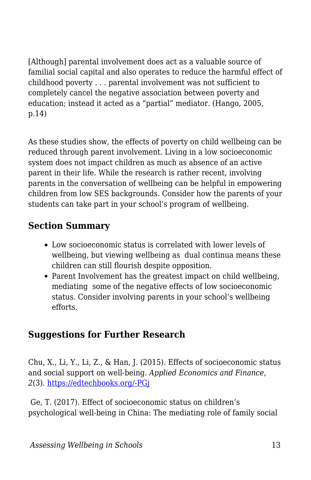[Although] parental involvement does act as a valuable source of familial social capital and also operates to reduce the harmful effect of childhood poverty . . . parental involvement was not sufficient to completely cancel the negative association between poverty and education; instead it acted as a "partial" mediator. (Hango, 2005, p.14)

As these studies show, the effects of poverty on child wellbeing can be reduced through parent involvement. Living in a low socioeconomic system does not impact children as much as absence of an active parent in their life. While the research is rather recent, involving parents in the conversation of wellbeing can be helpful in empowering children from low SES backgrounds. Consider how the parents of your students can take part in your school's program of wellbeing.

## **Section Summary**

- Low socioeconomic status is correlated with lower levels of wellbeing, but viewing wellbeing as dual continua means these children can still flourish despite opposition.
- Parent Involvement has the greatest impact on child wellbeing, mediating some of the negative effects of low socioeconomic status. Consider involving parents in your school's wellbeing efforts.

### **Suggestions for Further Research**

Chu, X., Li, Y., Li, Z., & Han, J. (2015). Effects of socioeconomic status and social support on well-being. *Applied Economics and Finance*, *2*(3). [https://edtechbooks.org/-PGj](https://edtechbooks.org/wellbeing/about:blank)

 Ge, T. (2017). Effect of socioeconomic status on children's psychological well-being in China: The mediating role of family social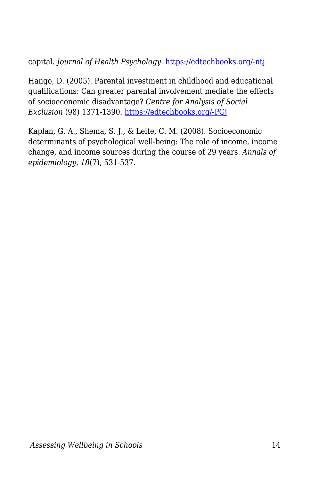capital. *Journal of Health Psychology*. [https://edtechbooks.org/-ntj](https://doi.org/10.1177/1359105317750462)

Hango, D. (2005). Parental investment in childhood and educational qualifications: Can greater parental involvement mediate the effects of socioeconomic disadvantage? *Centre for Analysis of Social Exclusion* (98) 1371-1390. [https://edtechbooks.org/-PGj](https://edtechbooks.org/wellbeing/about:blank)

Kaplan, G. A., Shema, S. J., & Leite, C. M. (2008). Socioeconomic determinants of psychological well-being: The role of income, income change, and income sources during the course of 29 years. *Annals of epidemiology*, *18*(7), 531-537.